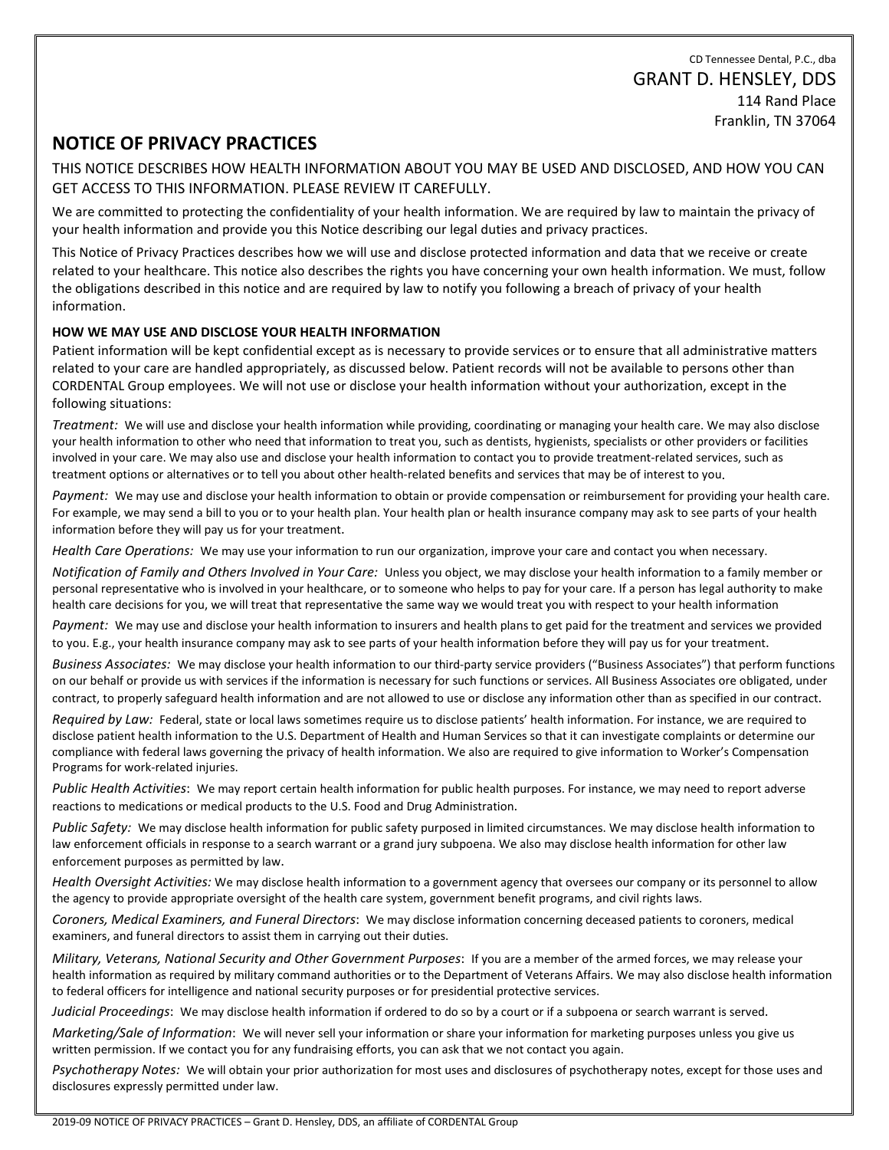CD Tennessee Dental, P.C., dba GRANT D. HENSLEY, DDS 114 Rand Place Franklin, TN 37064

# **NOTICE OF PRIVACY PRACTICES**

THIS NOTICE DESCRIBES HOW HEALTH INFORMATION ABOUT YOU MAY BE USED AND DISCLOSED, AND HOW YOU CAN GET ACCESS TO THIS INFORMATION. PLEASE REVIEW IT CAREFULLY.

We are committed to protecting the confidentiality of your health information. We are required by law to maintain the privacy of your health information and provide you this Notice describing our legal duties and privacy practices.

This Notice of Privacy Practices describes how we will use and disclose protected information and data that we receive or create related to your healthcare. This notice also describes the rights you have concerning your own health information. We must, follow the obligations described in this notice and are required by law to notify you following a breach of privacy of your health information.

## **HOW WE MAY USE AND DISCLOSE YOUR HEALTH INFORMATION**

Patient information will be kept confidential except as is necessary to provide services or to ensure that all administrative matters related to your care are handled appropriately, as discussed below. Patient records will not be available to persons other than CORDENTAL Group employees. We will not use or disclose your health information without your authorization, except in the following situations:

*Treatment:* We will use and disclose your health information while providing, coordinating or managing your health care. We may also disclose your health information to other who need that information to treat you, such as dentists, hygienists, specialists or other providers or facilities involved in your care. We may also use and disclose your health information to contact you to provide treatment-related services, such as treatment options or alternatives or to tell you about other health-related benefits and services that may be of interest to you.

*Payment:* We may use and disclose your health information to obtain or provide compensation or reimbursement for providing your health care. For example, we may send a bill to you or to your health plan. Your health plan or health insurance company may ask to see parts of your health information before they will pay us for your treatment.

*Health Care Operations:* We may use your information to run our organization, improve your care and contact you when necessary.

*Notification of Family and Others Involved in Your Care:* Unless you object, we may disclose your health information to a family member or personal representative who is involved in your healthcare, or to someone who helps to pay for your care. If a person has legal authority to make health care decisions for you, we will treat that representative the same way we would treat you with respect to your health information

*Payment:* We may use and disclose your health information to insurers and health plans to get paid for the treatment and services we provided to you. E.g., your health insurance company may ask to see parts of your health information before they will pay us for your treatment.

*Business Associates:* We may disclose your health information to our third-party service providers ("Business Associates") that perform functions on our behalf or provide us with services if the information is necessary for such functions or services. All Business Associates ore obligated, under contract, to properly safeguard health information and are not allowed to use or disclose any information other than as specified in our contract.

*Required by Law:* Federal, state or local laws sometimes require us to disclose patients' health information. For instance, we are required to disclose patient health information to the U.S. Department of Health and Human Services so that it can investigate complaints or determine our compliance with federal laws governing the privacy of health information. We also are required to give information to Worker's Compensation Programs for work-related injuries.

*Public Health Activities*: We may report certain health information for public health purposes. For instance, we may need to report adverse reactions to medications or medical products to the U.S. Food and Drug Administration.

*Public Safety:* We may disclose health information for public safety purposed in limited circumstances. We may disclose health information to law enforcement officials in response to a search warrant or a grand jury subpoena. We also may disclose health information for other law enforcement purposes as permitted by law.

*Health Oversight Activities:* We may disclose health information to a government agency that oversees our company or its personnel to allow the agency to provide appropriate oversight of the health care system, government benefit programs, and civil rights laws.

*Coroners, Medical Examiners, and Funeral Directors*: We may disclose information concerning deceased patients to coroners, medical examiners, and funeral directors to assist them in carrying out their duties.

*Military, Veterans, National Security and Other Government Purposes*: If you are a member of the armed forces, we may release your health information as required by military command authorities or to the Department of Veterans Affairs. We may also disclose health information to federal officers for intelligence and national security purposes or for presidential protective services.

*Judicial Proceedings*: We may disclose health information if ordered to do so by a court or if a subpoena or search warrant is served.

*Marketing/Sale of Information*: We will never sell your information or share your information for marketing purposes unless you give us written permission. If we contact you for any fundraising efforts, you can ask that we not contact you again.

*Psychotherapy Notes:* We will obtain your prior authorization for most uses and disclosures of psychotherapy notes, except for those uses and disclosures expressly permitted under law.